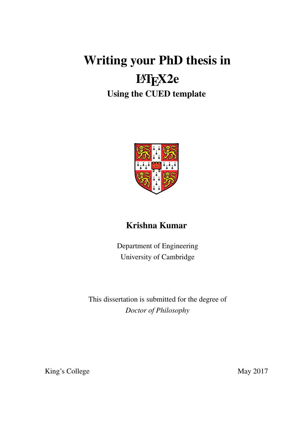# Writing your PhD thesis in

# LAT<sub>E</sub>X2e

## Using the CUED template



## Krishna Kumar

Department of Engineering University of Cambridge

This dissertation is submitted for the degree of *Doctor of Philosophy*

King's College May 2017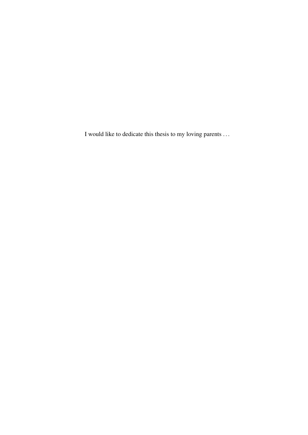I would like to dedicate this thesis to my loving parents . . .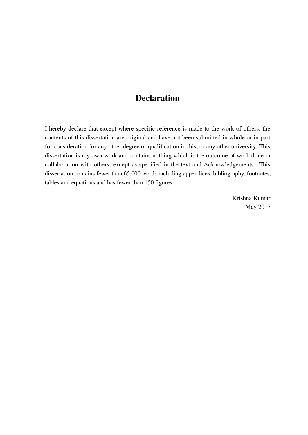#### **Declaration**

I hereby declare that except where specific reference is made to the work of others, the contents of this dissertation are original and have not been submitted in whole or in part for consideration for any other degree or qualification in this, or any other university. This dissertation is my own work and contains nothing which is the outcome of work done in collaboration with others, except as specified in the text and Acknowledgements. This dissertation contains fewer than 65,000 words including appendices, bibliography, footnotes, tables and equations and has fewer than 150 figures.

> Krishna Kumar May 2017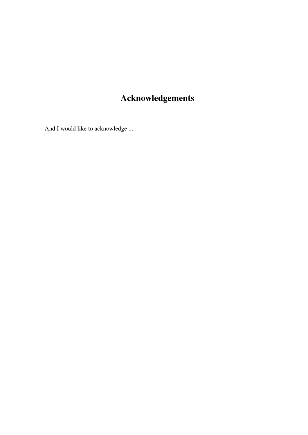## Acknowledgements

And I would like to acknowledge ...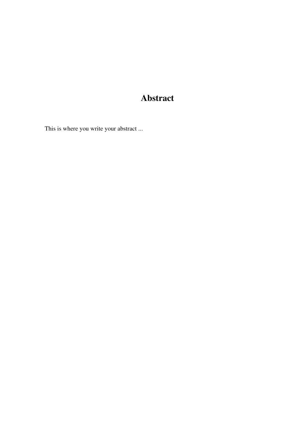## Abstract

This is where you write your abstract ...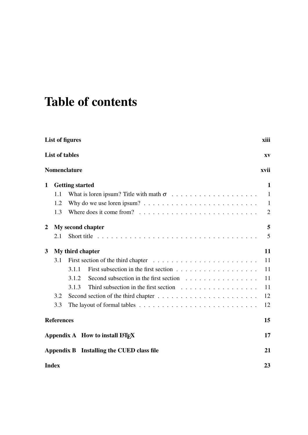# Table of contents

|                  | List of figures<br>xiii |                                                                                                 |              |  |  |
|------------------|-------------------------|-------------------------------------------------------------------------------------------------|--------------|--|--|
|                  | <b>List of tables</b>   |                                                                                                 | XV           |  |  |
|                  |                         | Nomenclature                                                                                    | xvii         |  |  |
| $\mathbf 1$      |                         | <b>Getting started</b>                                                                          | 1            |  |  |
|                  | 1.1                     |                                                                                                 | $\mathbf{1}$ |  |  |
|                  | 1.2                     | Why do we use loren ipsum? $\ldots \ldots \ldots \ldots \ldots \ldots \ldots \ldots$            | $\mathbf{1}$ |  |  |
|                  | 1.3                     |                                                                                                 | 2            |  |  |
| $\boldsymbol{2}$ |                         | My second chapter                                                                               | 5            |  |  |
|                  | 2.1                     |                                                                                                 | 5            |  |  |
| 3                |                         | My third chapter                                                                                | 11           |  |  |
|                  | 3.1                     |                                                                                                 | 11           |  |  |
|                  |                         | 3.1.1                                                                                           | 11           |  |  |
|                  |                         | Second subsection in the first section $\ldots \ldots \ldots \ldots \ldots$<br>3.1.2            | 11           |  |  |
|                  |                         | Third subsection in the first section $\ldots \ldots \ldots \ldots \ldots$<br>3.1.3             | 11           |  |  |
|                  | 3.2                     |                                                                                                 | 12           |  |  |
|                  | 3.3                     | The layout of formal tables $\dots \dots \dots \dots \dots \dots \dots \dots \dots \dots \dots$ | 12           |  |  |
|                  | <b>References</b>       |                                                                                                 | 15           |  |  |
|                  |                         | Appendix A How to install LATFX                                                                 | 17           |  |  |
|                  |                         | Appendix B Installing the CUED class file                                                       | 21           |  |  |
|                  | <b>Index</b><br>23      |                                                                                                 |              |  |  |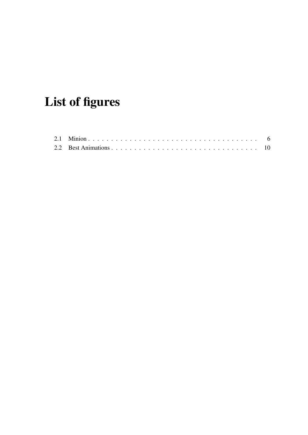# <span id="page-12-0"></span>List of figures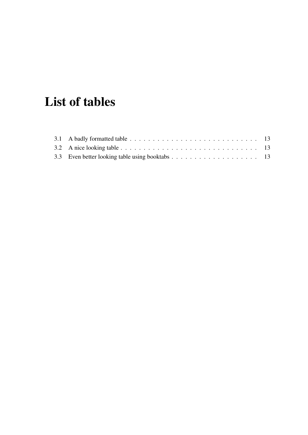# <span id="page-14-0"></span>List of tables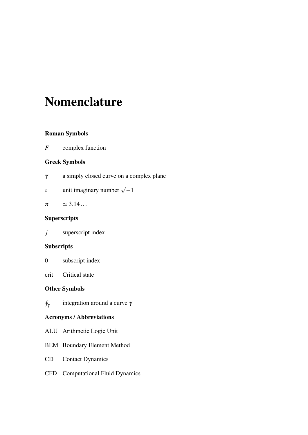## <span id="page-16-0"></span>Nomenclature

#### Roman Symbols

*F* complex function

#### Greek Symbols

- γ a simply closed curve on a complex plane
- *i* unit imaginary number  $\sqrt{-1}$

$$
\pi \qquad \simeq 3.14...
$$

#### **Superscripts**

*j* superscript index

#### **Subscripts**

- 0 subscript index
- crit Critical state

#### Other Symbols

 $\oint_{\gamma}$ integration around a curve  $\gamma$ 

#### Acronyms / Abbreviations

- ALU Arithmetic Logic Unit
- BEM Boundary Element Method
- CD Contact Dynamics
- CFD Computational Fluid Dynamics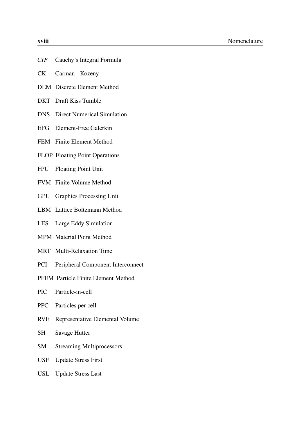| XVIII |                                      |
|-------|--------------------------------------|
|       |                                      |
|       | <i>CIF</i> Cauchy's Integral Formula |

- CK Carman Kozeny
- DEM Discrete Element Method
- DKT Draft Kiss Tumble
- DNS Direct Numerical Simulation
- EFG Element-Free Galerkin
- FEM Finite Element Method
- FLOP Floating Point Operations
- FPU Floating Point Unit
- FVM Finite Volume Method
- GPU Graphics Processing Unit
- LBM Lattice Boltzmann Method
- LES Large Eddy Simulation
- MPM Material Point Method
- MRT Multi-Relaxation Time
- PCI Peripheral Component Interconnect
- PFEM Particle Finite Element Method
- PIC Particle-in-cell
- PPC Particles per cell
- RVE Representative Elemental Volume
- SH Savage Hutter
- SM Streaming Multiprocessors
- USF Update Stress First
- USL Update Stress Last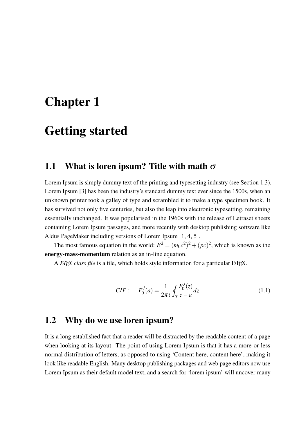## <span id="page-18-3"></span><span id="page-18-0"></span>Chapter 1

## Getting started

#### <span id="page-18-1"></span>1.1 What is loren ipsum? Title with math  $\sigma$

Lorem Ipsum is simply dummy text of the printing and typesetting industry (see Section [1.3\)](#page-19-0). Lorem Ipsum [\[3\]](#page-32-1) has been the industry's standard dummy text ever since the 1500s, when an unknown printer took a galley of type and scrambled it to make a type specimen book. It has survived not only five centuries, but also the leap into electronic typesetting, remaining essentially unchanged. It was popularised in the 1960s with the release of Letraset sheets containing Lorem Ipsum passages, and more recently with desktop publishing software like Aldus PageMaker including versions of Lorem Ipsum [\[1,](#page-32-2) [4,](#page-32-3) [5\]](#page-32-4).

The most famous equation in the world:  $E^2 = (m_0c^2)^2 + (pc)^2$ , which is known as the energy-mass-momentum relation as an in-line equation.

A *EIFX class file* is a file, which holds style information for a particular LATEX.

*CIF*: 
$$
F_0^j(a) = \frac{1}{2\pi i} \oint_\gamma \frac{F_0^j(z)}{z-a} dz
$$
 (1.1)

#### <span id="page-18-2"></span>1.2 Why do we use loren ipsum?

It is a long established fact that a reader will be distracted by the readable content of a page when looking at its layout. The point of using Lorem Ipsum is that it has a more-or-less normal distribution of letters, as opposed to using 'Content here, content here', making it look like readable English. Many desktop publishing packages and web page editors now use Lorem Ipsum as their default model text, and a search for 'lorem ipsum' will uncover many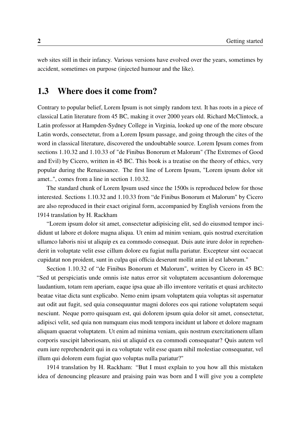web sites still in their infancy. Various versions have evolved over the years, sometimes by accident, sometimes on purpose (injected humour and the like).

#### <span id="page-19-0"></span>1.3 Where does it come from?

Contrary to popular belief, Lorem Ipsum is not simply random text. It has roots in a piece of classical Latin literature from 45 BC, making it over 2000 years old. Richard McClintock, a Latin professor at Hampden-Sydney College in Virginia, looked up one of the more obscure Latin words, consectetur, from a Lorem Ipsum passage, and going through the cites of the word in classical literature, discovered the undoubtable source. Lorem Ipsum comes from sections 1.10.32 and 1.10.33 of "de Finibus Bonorum et Malorum" (The Extremes of Good and Evil) by Cicero, written in 45 BC. This book is a treatise on the theory of ethics, very popular during the Renaissance. The first line of Lorem Ipsum, "Lorem ipsum dolor sit amet..", comes from a line in section 1.10.32.

The standard chunk of Lorem Ipsum used since the 1500s is reproduced below for those interested. Sections 1.10.32 and 1.10.33 from "de Finibus Bonorum et Malorum" by Cicero are also reproduced in their exact original form, accompanied by English versions from the 1914 translation by H. Rackham

"Lorem ipsum dolor sit amet, consectetur adipisicing elit, sed do eiusmod tempor incididunt ut labore et dolore magna aliqua. Ut enim ad minim veniam, quis nostrud exercitation ullamco laboris nisi ut aliquip ex ea commodo consequat. Duis aute irure dolor in reprehenderit in voluptate velit esse cillum dolore eu fugiat nulla pariatur. Excepteur sint occaecat cupidatat non proident, sunt in culpa qui officia deserunt mollit anim id est laborum."

Section 1.10.32 of "de Finibus Bonorum et Malorum", written by Cicero in 45 BC: "Sed ut perspiciatis unde omnis iste natus error sit voluptatem accusantium doloremque laudantium, totam rem aperiam, eaque ipsa quae ab illo inventore veritatis et quasi architecto beatae vitae dicta sunt explicabo. Nemo enim ipsam voluptatem quia voluptas sit aspernatur aut odit aut fugit, sed quia consequuntur magni dolores eos qui ratione voluptatem sequi nesciunt. Neque porro quisquam est, qui dolorem ipsum quia dolor sit amet, consectetur, adipisci velit, sed quia non numquam eius modi tempora incidunt ut labore et dolore magnam aliquam quaerat voluptatem. Ut enim ad minima veniam, quis nostrum exercitationem ullam corporis suscipit laboriosam, nisi ut aliquid ex ea commodi consequatur? Quis autem vel eum iure reprehenderit qui in ea voluptate velit esse quam nihil molestiae consequatur, vel illum qui dolorem eum fugiat quo voluptas nulla pariatur?"

1914 translation by H. Rackham: "But I must explain to you how all this mistaken idea of denouncing pleasure and praising pain was born and I will give you a complete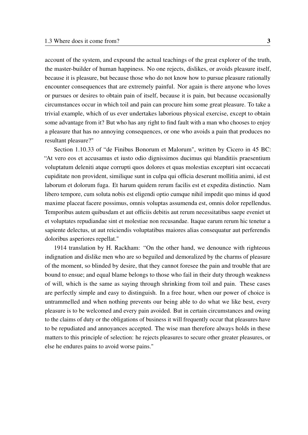account of the system, and expound the actual teachings of the great explorer of the truth, the master-builder of human happiness. No one rejects, dislikes, or avoids pleasure itself, because it is pleasure, but because those who do not know how to pursue pleasure rationally encounter consequences that are extremely painful. Nor again is there anyone who loves or pursues or desires to obtain pain of itself, because it is pain, but because occasionally circumstances occur in which toil and pain can procure him some great pleasure. To take a trivial example, which of us ever undertakes laborious physical exercise, except to obtain some advantage from it? But who has any right to find fault with a man who chooses to enjoy a pleasure that has no annoying consequences, or one who avoids a pain that produces no resultant pleasure?"

Section 1.10.33 of "de Finibus Bonorum et Malorum", written by Cicero in 45 BC: "At vero eos et accusamus et iusto odio dignissimos ducimus qui blanditiis praesentium voluptatum deleniti atque corrupti quos dolores et quas molestias excepturi sint occaecati cupiditate non provident, similique sunt in culpa qui officia deserunt mollitia animi, id est laborum et dolorum fuga. Et harum quidem rerum facilis est et expedita distinctio. Nam libero tempore, cum soluta nobis est eligendi optio cumque nihil impedit quo minus id quod maxime placeat facere possimus, omnis voluptas assumenda est, omnis dolor repellendus. Temporibus autem quibusdam et aut officiis debitis aut rerum necessitatibus saepe eveniet ut et voluptates repudiandae sint et molestiae non recusandae. Itaque earum rerum hic tenetur a sapiente delectus, ut aut reiciendis voluptatibus maiores alias consequatur aut perferendis doloribus asperiores repellat."

1914 translation by H. Rackham: "On the other hand, we denounce with righteous indignation and dislike men who are so beguiled and demoralized by the charms of pleasure of the moment, so blinded by desire, that they cannot foresee the pain and trouble that are bound to ensue; and equal blame belongs to those who fail in their duty through weakness of will, which is the same as saying through shrinking from toil and pain. These cases are perfectly simple and easy to distinguish. In a free hour, when our power of choice is untrammelled and when nothing prevents our being able to do what we like best, every pleasure is to be welcomed and every pain avoided. But in certain circumstances and owing to the claims of duty or the obligations of business it will frequently occur that pleasures have to be repudiated and annoyances accepted. The wise man therefore always holds in these matters to this principle of selection: he rejects pleasures to secure other greater pleasures, or else he endures pains to avoid worse pains."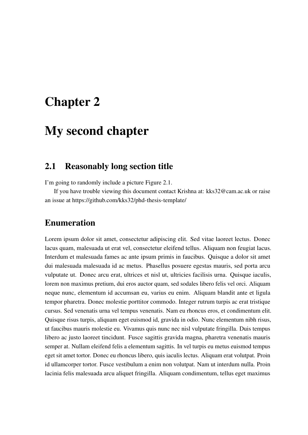## <span id="page-22-0"></span>Chapter 2

## My second chapter

#### <span id="page-22-1"></span>2.1 Reasonably long section title

I'm going to randomly include a picture Figure [2.1.](#page-23-0)

If you have trouble viewing this document contact Krishna at: [kks32@cam.ac.uk](mailto:kks32@cam.ac.uk) or raise an issue at <https://github.com/kks32/phd-thesis-template/>

#### Enumeration

Lorem ipsum dolor sit amet, consectetur adipiscing elit. Sed vitae laoreet lectus. Donec lacus quam, malesuada ut erat vel, consectetur eleifend tellus. Aliquam non feugiat lacus. Interdum et malesuada fames ac ante ipsum primis in faucibus. Quisque a dolor sit amet dui malesuada malesuada id ac metus. Phasellus posuere egestas mauris, sed porta arcu vulputate ut. Donec arcu erat, ultrices et nisl ut, ultricies facilisis urna. Quisque iaculis, lorem non maximus pretium, dui eros auctor quam, sed sodales libero felis vel orci. Aliquam neque nunc, elementum id accumsan eu, varius eu enim. Aliquam blandit ante et ligula tempor pharetra. Donec molestie porttitor commodo. Integer rutrum turpis ac erat tristique cursus. Sed venenatis urna vel tempus venenatis. Nam eu rhoncus eros, et condimentum elit. Quisque risus turpis, aliquam eget euismod id, gravida in odio. Nunc elementum nibh risus, ut faucibus mauris molestie eu. Vivamus quis nunc nec nisl vulputate fringilla. Duis tempus libero ac justo laoreet tincidunt. Fusce sagittis gravida magna, pharetra venenatis mauris semper at. Nullam eleifend felis a elementum sagittis. In vel turpis eu metus euismod tempus eget sit amet tortor. Donec eu rhoncus libero, quis iaculis lectus. Aliquam erat volutpat. Proin id ullamcorper tortor. Fusce vestibulum a enim non volutpat. Nam ut interdum nulla. Proin lacinia felis malesuada arcu aliquet fringilla. Aliquam condimentum, tellus eget maximus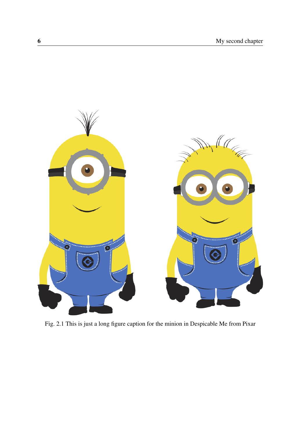<span id="page-23-0"></span>

Fig. 2.1 This is just a long figure caption for the minion in Despicable Me from Pixar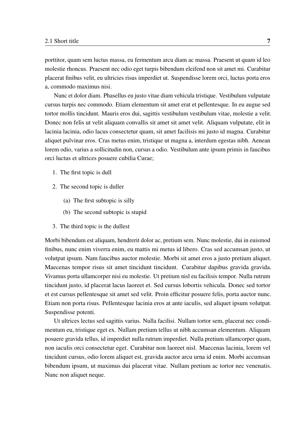porttitor, quam sem luctus massa, eu fermentum arcu diam ac massa. Praesent ut quam id leo molestie rhoncus. Praesent nec odio eget turpis bibendum eleifend non sit amet mi. Curabitur placerat finibus velit, eu ultricies risus imperdiet ut. Suspendisse lorem orci, luctus porta eros a, commodo maximus nisi.

Nunc et dolor diam. Phasellus eu justo vitae diam vehicula tristique. Vestibulum vulputate cursus turpis nec commodo. Etiam elementum sit amet erat et pellentesque. In eu augue sed tortor mollis tincidunt. Mauris eros dui, sagittis vestibulum vestibulum vitae, molestie a velit. Donec non felis ut velit aliquam convallis sit amet sit amet velit. Aliquam vulputate, elit in lacinia lacinia, odio lacus consectetur quam, sit amet facilisis mi justo id magna. Curabitur aliquet pulvinar eros. Cras metus enim, tristique ut magna a, interdum egestas nibh. Aenean lorem odio, varius a sollicitudin non, cursus a odio. Vestibulum ante ipsum primis in faucibus orci luctus et ultrices posuere cubilia Curae;

- 1. The first topic is dull
- 2. The second topic is duller
	- (a) The first subtopic is silly
	- (b) The second subtopic is stupid
- 3. The third topic is the dullest

Morbi bibendum est aliquam, hendrerit dolor ac, pretium sem. Nunc molestie, dui in euismod finibus, nunc enim viverra enim, eu mattis mi metus id libero. Cras sed accumsan justo, ut volutpat ipsum. Nam faucibus auctor molestie. Morbi sit amet eros a justo pretium aliquet. Maecenas tempor risus sit amet tincidunt tincidunt. Curabitur dapibus gravida gravida. Vivamus porta ullamcorper nisi eu molestie. Ut pretium nisl eu facilisis tempor. Nulla rutrum tincidunt justo, id placerat lacus laoreet et. Sed cursus lobortis vehicula. Donec sed tortor et est cursus pellentesque sit amet sed velit. Proin efficitur posuere felis, porta auctor nunc. Etiam non porta risus. Pellentesque lacinia eros at ante iaculis, sed aliquet ipsum volutpat. Suspendisse potenti.

Ut ultrices lectus sed sagittis varius. Nulla facilisi. Nullam tortor sem, placerat nec condimentum eu, tristique eget ex. Nullam pretium tellus ut nibh accumsan elementum. Aliquam posuere gravida tellus, id imperdiet nulla rutrum imperdiet. Nulla pretium ullamcorper quam, non iaculis orci consectetur eget. Curabitur non laoreet nisl. Maecenas lacinia, lorem vel tincidunt cursus, odio lorem aliquet est, gravida auctor arcu urna id enim. Morbi accumsan bibendum ipsum, ut maximus dui placerat vitae. Nullam pretium ac tortor nec venenatis. Nunc non aliquet neque.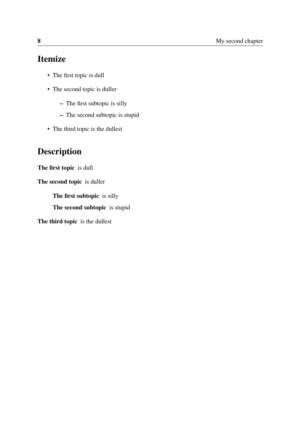### Itemize

- The first topic is dull
- The second topic is duller
	- The first subtopic is silly
	- The second subtopic is stupid
- The third topic is the dullest

## Description

The first topic is dull

The second topic is duller

The first subtopic is silly

The second subtopic is stupid

The third topic is the dullest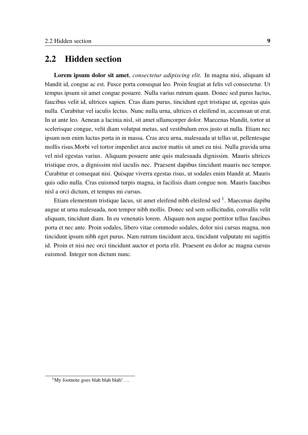#### 2.2 Hidden section

Lorem ipsum dolor sit amet, *consectetur adipiscing elit*. In magna nisi, aliquam id blandit id, congue ac est. Fusce porta consequat leo. Proin feugiat at felis vel consectetur. Ut tempus ipsum sit amet congue posuere. Nulla varius rutrum quam. Donec sed purus luctus, faucibus velit id, ultrices sapien. Cras diam purus, tincidunt eget tristique ut, egestas quis nulla. Curabitur vel iaculis lectus. Nunc nulla urna, ultrices et eleifend in, accumsan ut erat. In ut ante leo. Aenean a lacinia nisl, sit amet ullamcorper dolor. Maecenas blandit, tortor ut scelerisque congue, velit diam volutpat metus, sed vestibulum eros justo ut nulla. Etiam nec ipsum non enim luctus porta in in massa. Cras arcu urna, malesuada ut tellus ut, pellentesque mollis risus.Morbi vel tortor imperdiet arcu auctor mattis sit amet eu nisi. Nulla gravida urna vel nisl egestas varius. Aliquam posuere ante quis malesuada dignissim. Mauris ultrices tristique eros, a dignissim nisl iaculis nec. Praesent dapibus tincidunt mauris nec tempor. Curabitur et consequat nisi. Quisque viverra egestas risus, ut sodales enim blandit at. Mauris quis odio nulla. Cras euismod turpis magna, in facilisis diam congue non. Mauris faucibus nisl a orci dictum, et tempus mi cursus.

Etiam elementum tristique lacus, sit amet eleifend nibh eleifend sed  $^1$  $^1$ . Maecenas dapibu augue ut urna malesuada, non tempor nibh mollis. Donec sed sem sollicitudin, convallis velit aliquam, tincidunt diam. In eu venenatis lorem. Aliquam non augue porttitor tellus faucibus porta et nec ante. Proin sodales, libero vitae commodo sodales, dolor nisi cursus magna, non tincidunt ipsum nibh eget purus. Nam rutrum tincidunt arcu, tincidunt vulputate mi sagittis id. Proin et nisi nec orci tincidunt auctor et porta elit. Praesent eu dolor ac magna cursus euismod. Integer non dictum nunc.

<span id="page-26-0"></span> $1$ My footnote goes blah blah blah! ...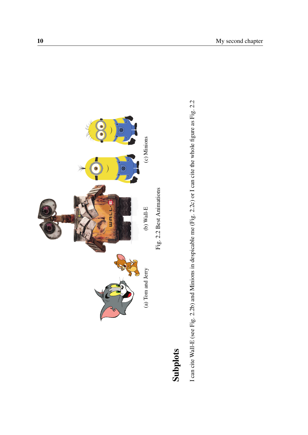<span id="page-27-0"></span>

# Subplots

I can cite Wall-E (see Fig. 2.2b) and Minions in despicable me (Fig. 2.2c) or I can cite the whole figure as Fig. 2.2 Subplots<br>I can cite Wall-E (see Fig. [2.2b\)](#page-27-0) and Minions in despicable me (Fig. [2.2c\)](#page-27-0) or I can cite the whole figure as Fig. [2.2](#page-27-0)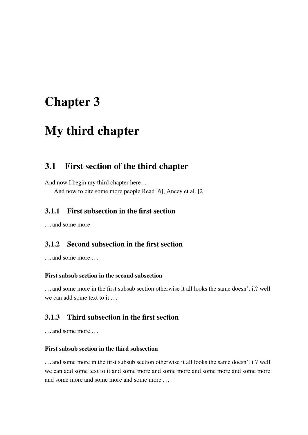## <span id="page-28-0"></span>Chapter 3

## My third chapter

#### <span id="page-28-1"></span>3.1 First section of the third chapter

And now I begin my third chapter here ... And now to cite some more people Read [\[6\]](#page-32-5), Ancey et al. [\[2\]](#page-32-6)

#### <span id="page-28-2"></span>3.1.1 First subsection in the first section

... and some more

#### <span id="page-28-3"></span>3.1.2 Second subsection in the first section

... and some more ...

#### First subsub section in the second subsection

. . . and some more in the first subsub section otherwise it all looks the same doesn't it? well we can add some text to it ...

#### <span id="page-28-4"></span>3.1.3 Third subsection in the first section

... and some more ...

#### First subsub section in the third subsection

. . . and some more in the first subsub section otherwise it all looks the same doesn't it? well we can add some text to it and some more and some more and some more and some more and some more and some more and some more ...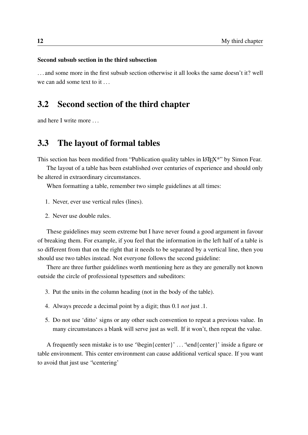#### Second subsub section in the third subsection

. . . and some more in the first subsub section otherwise it all looks the same doesn't it? well we can add some text to it . . .

#### <span id="page-29-0"></span>3.2 Second section of the third chapter

and here I write more . . .

#### <span id="page-29-1"></span>3.3 The layout of formal tables

This section has been modified from "Publication quality tables in LAT<sub>EX\*</sub>" by Simon Fear.

The layout of a table has been established over centuries of experience and should only be altered in extraordinary circumstances.

When formatting a table, remember two simple guidelines at all times:

- 1. Never, ever use vertical rules (lines).
- 2. Never use double rules.

These guidelines may seem extreme but I have never found a good argument in favour of breaking them. For example, if you feel that the information in the left half of a table is so different from that on the right that it needs to be separated by a vertical line, then you should use two tables instead. Not everyone follows the second guideline:

There are three further guidelines worth mentioning here as they are generally not known outside the circle of professional typesetters and subeditors:

- 3. Put the units in the column heading (not in the body of the table).
- 4. Always precede a decimal point by a digit; thus 0.1 *not* just .1.
- 5. Do not use 'ditto' signs or any other such convention to repeat a previous value. In many circumstances a blank will serve just as well. If it won't, then repeat the value.

A frequently seen mistake is to use '\begin{center}' . . . '\end{center}' inside a figure or table environment. This center environment can cause additional vertical space. If you want to avoid that just use '\centering'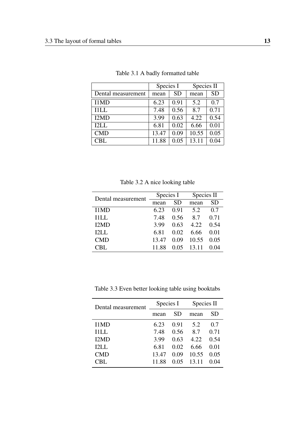<span id="page-30-0"></span>

|                    | Species I |           | Species II |           |
|--------------------|-----------|-----------|------------|-----------|
| Dental measurement | mean      | <b>SD</b> | mean       | <b>SD</b> |
| I1MD               | 6.23      | 0.91      | 5.2        | 0.7       |
| <b>I1LL</b>        | 7.48      | 0.56      | 8.7        | 0.71      |
| I2MD               | 3.99      | 0.63      | 4.22       | 0.54      |
| 12LL               | 6.81      | 0.02      | 6.66       | 0.01      |
| <b>CMD</b>         | 13.47     | 0.09      | 10.55      | 0.05      |
| <b>CBL</b>         | 11.88     | 0.05      | 13.11      | 0.04      |

Table 3.1 A badly formatted table

Table 3.2 A nice looking table

<span id="page-30-1"></span>

| Dental measurement | Species I |      | Species II |      |
|--------------------|-----------|------|------------|------|
|                    | mean      | SD.  | mean       | SD   |
| I1MD               | 6.23      | 0.91 | 5.2        | 0.7  |
| <b>I1LL</b>        | 7.48      | 0.56 | 8.7        | 0.71 |
| I2MD               | 3.99      | 0.63 | 4.22       | 0.54 |
| <b>I2LL</b>        | 6.81      | 0.02 | 6.66       | 0.01 |
| <b>CMD</b>         | 13.47     | 0.09 | 10.55      | 0.05 |
| CBL.               | 11.88     | 0.05 | 13.11      | 0.04 |
|                    |           |      |            |      |

<span id="page-30-2"></span>Table 3.3 Even better looking table using booktabs

| Dental measurement | Species I |      | Species II |      |
|--------------------|-----------|------|------------|------|
|                    | mean      | SD   | mean       | SD   |
| I1MD               | 6.23      | 0.91 | 5.2        | 0.7  |
| IILL.              | 7.48      | 0.56 | 8.7        | 0.71 |
| I2MD               | 3.99      | 0.63 | 4.22       | 0.54 |
| <b>I2LL</b>        | 6.81      | 0.02 | 6.66       | 0.01 |
| <b>CMD</b>         | 13.47     | 0.09 | 10.55      | 0.05 |
| CBL.               | 11.88     | 0.05 | 13.11      | 0.04 |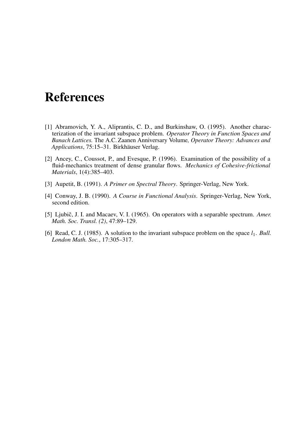## <span id="page-32-0"></span>References

- <span id="page-32-2"></span>[1] Abramovich, Y. A., Aliprantis, C. D., and Burkinshaw, O. (1995). Another characterization of the invariant subspace problem. *Operator Theory in Function Spaces and Banach Lattices.* The A.C. Zaanen Anniversary Volume*, Operator Theory: Advances and Applications*, 75:15–31. Birkhäuser Verlag.
- <span id="page-32-6"></span>[2] Ancey, C., Coussot, P., and Evesque, P. (1996). Examination of the possibility of a fluid-mechanics treatment of dense granular flows. *Mechanics of Cohesive-frictional Materials*, 1(4):385–403.
- <span id="page-32-1"></span>[3] Aupetit, B. (1991). *A Primer on Spectral Theory*. Springer-Verlag, New York.
- <span id="page-32-3"></span>[4] Conway, J. B. (1990). *A Course in Functional Analysis*. Springer-Verlag, New York, second edition.
- <span id="page-32-4"></span>[5] Ljubič, J. I. and Macaev, V. I. (1965). On operators with a separable spectrum. Amer. *Math. Soc. Transl. (2)*, 47:89–129.
- <span id="page-32-5"></span>[6] Read, C. J. (1985). A solution to the invariant subspace problem on the space  $l_1$ . *Bull. London Math. Soc.*, 17:305–317.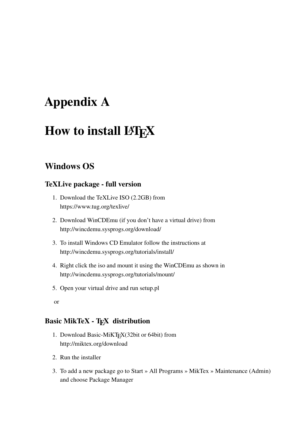## <span id="page-34-0"></span>Appendix A

## How to install LYFX

#### Windows OS

#### TeXLive package - full version

- 1. Download the TeXLive ISO (2.2GB) from <https://www.tug.org/texlive/>
- 2. Download WinCDEmu (if you don't have a virtual drive) from <http://wincdemu.sysprogs.org/download/>
- 3. To install Windows CD Emulator follow the instructions at <http://wincdemu.sysprogs.org/tutorials/install/>
- 4. Right click the iso and mount it using the WinCDEmu as shown in <http://wincdemu.sysprogs.org/tutorials/mount/>
- 5. Open your virtual drive and run setup.pl
- or

#### Basic MikTeX - T<sub>F</sub>X distribution

- 1. Download Basic-MiKTEX(32bit or 64bit) from <http://miktex.org/download>
- 2. Run the installer
- 3. To add a new package go to Start » All Programs » MikTex » Maintenance (Admin) and choose Package Manager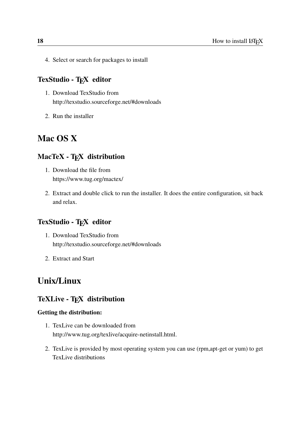4. Select or search for packages to install

#### TexStudio - TFX editor

- 1. Download TexStudio from <http://texstudio.sourceforge.net/#downloads>
- 2. Run the installer

#### Mac OS X

#### MacTeX - TFX distribution

- 1. Download the file from <https://www.tug.org/mactex/>
- 2. Extract and double click to run the installer. It does the entire configuration, sit back and relax.

#### TexStudio - TFX editor

- 1. Download TexStudio from <http://texstudio.sourceforge.net/#downloads>
- 2. Extract and Start

#### Unix/Linux

#### TeXLive - TFX distribution

#### Getting the distribution:

- 1. TexLive can be downloaded from [http://www.tug.org/texlive/acquire-netinstall.html.](http://www.tug.org/texlive/acquire-netinstall.html)
- 2. TexLive is provided by most operating system you can use (rpm,apt-get or yum) to get TexLive distributions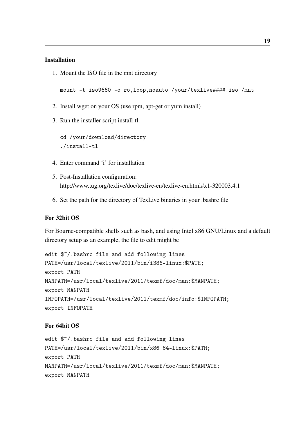#### Installation

1. Mount the ISO file in the mnt directory

mount -t iso9660 -o ro,loop,noauto /your/texlive####.iso /mnt

- 2. Install wget on your OS (use rpm, apt-get or yum install)
- 3. Run the installer script install-tl.

cd /your/download/directory ./install-tl

- 4. Enter command 'i' for installation
- 5. Post-Installation configuration: <http://www.tug.org/texlive/doc/texlive-en/texlive-en.html#x1-320003.4.1>
- 6. Set the path for the directory of TexLive binaries in your .bashrc file

#### For 32bit OS

For Bourne-compatible shells such as bash, and using Intel x86 GNU/Linux and a default directory setup as an example, the file to edit might be

```
edit $~/.bashrc file and add following lines
PATH=/usr/local/texlive/2011/bin/i386-linux:$PATH;
export PATH
MANPATH=/usr/local/texlive/2011/texmf/doc/man:$MANPATH;
export MANPATH
INFOPATH=/usr/local/texlive/2011/texmf/doc/info:$INFOPATH;
export INFOPATH
```
#### For 64bit OS

```
edit $~/.bashrc file and add following lines
PATH=/usr/local/texlive/2011/bin/x86_64-linux:$PATH;
export PATH
MANPATH=/usr/local/texlive/2011/texmf/doc/man:$MANPATH;
export MANPATH
```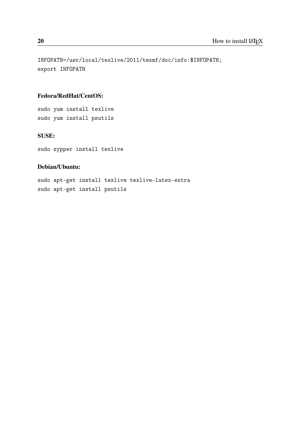INFOPATH=/usr/local/texlive/2011/texmf/doc/info:\$INFOPATH; export INFOPATH

#### Fedora/RedHat/CentOS:

sudo yum install texlive sudo yum install psutils

#### SUSE:

sudo zypper install texlive

#### Debian/Ubuntu:

sudo apt-get install texlive texlive-latex-extra sudo apt-get install psutils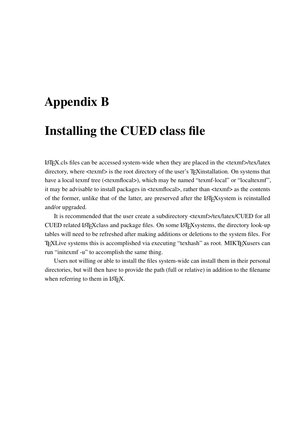## <span id="page-38-0"></span>Appendix B

## Installing the CUED class file

LATEX.cls files can be accessed system-wide when they are placed in the <texmf>/tex/latex directory, where  $\langle$ texmf> is the root directory of the user's T<sub>E</sub>Xinstallation. On systems that have a local texmf tree (<texmflocal>), which may be named "texmf-local" or "localtexmf", it may be advisable to install packages in <texmflocal>, rather than <texmf> as the contents of the former, unlike that of the latter, are preserved after the LAT<sub>E</sub>Xsystem is reinstalled and/or upgraded.

It is recommended that the user create a subdirectory <texmf>/tex/latex/CUED for all CUED related LATEXclass and package files. On some LATEXsystems, the directory look-up tables will need to be refreshed after making additions or deletions to the system files. For TEXLive systems this is accomplished via executing "texhash" as root. MIKTEXusers can run "initexmf -u" to accomplish the same thing.

Users not willing or able to install the files system-wide can install them in their personal directories, but will then have to provide the path (full or relative) in addition to the filename when referring to them in LAT<sub>E</sub>X.